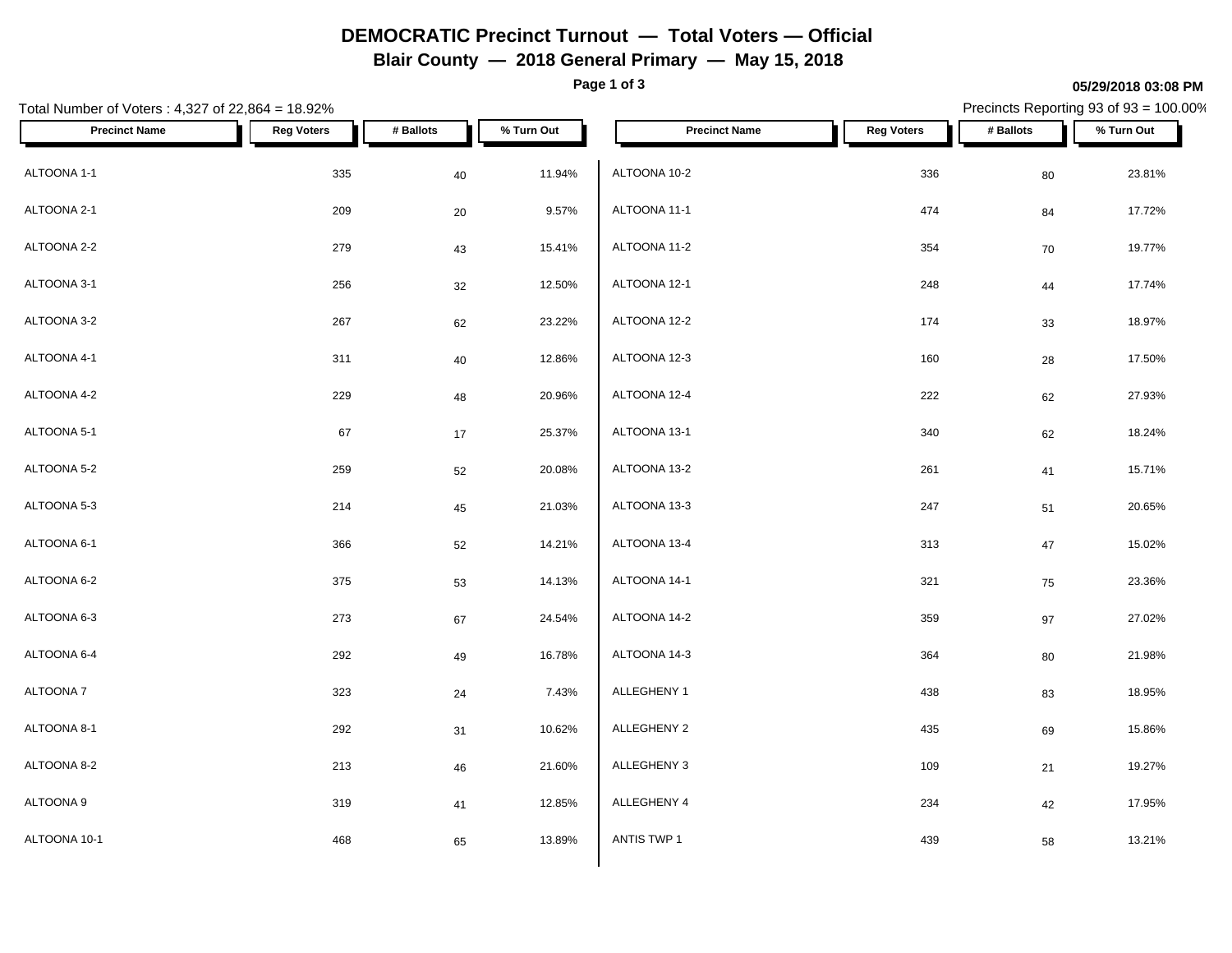# **DEMOCRATIC Precinct Turnout — Total Voters — Official**

**Blair County — 2018 General Primary — May 15, 2018**

**Page 1 of 3**

#### **05/29/2018 03:08 PM**

Precincts Reporting 93 of 93 = 100.00%

| Total Number of Voters: 4,327 of 22,864 = 18.92% |                   |           |            |                      |                   |           | Precincts Reporting 93 of 93 = 100.00% |
|--------------------------------------------------|-------------------|-----------|------------|----------------------|-------------------|-----------|----------------------------------------|
| <b>Precinct Name</b>                             | <b>Reg Voters</b> | # Ballots | % Turn Out | <b>Precinct Name</b> | <b>Reg Voters</b> | # Ballots | % Turn Out                             |
| ALTOONA 1-1                                      | 335               | 40        | 11.94%     | ALTOONA 10-2         | 336               | 80        | 23.81%                                 |
| ALTOONA 2-1                                      | 209               | 20        | 9.57%      | ALTOONA 11-1         | 474               | 84        | 17.72%                                 |
| ALTOONA 2-2                                      | 279               | 43        | 15.41%     | ALTOONA 11-2         | 354               | 70        | 19.77%                                 |
| ALTOONA 3-1                                      | 256               | 32        | 12.50%     | ALTOONA 12-1         | 248               | $\bf 44$  | 17.74%                                 |
| ALTOONA 3-2                                      | 267               | 62        | 23.22%     | ALTOONA 12-2         | 174               | 33        | 18.97%                                 |
| ALTOONA 4-1                                      | 311               | 40        | 12.86%     | ALTOONA 12-3         | 160               | 28        | 17.50%                                 |
| ALTOONA 4-2                                      | 229               | 48        | 20.96%     | ALTOONA 12-4         | 222               | 62        | 27.93%                                 |
| ALTOONA 5-1                                      | 67                | 17        | 25.37%     | ALTOONA 13-1         | 340               | 62        | 18.24%                                 |
| ALTOONA 5-2                                      | 259               | 52        | 20.08%     | ALTOONA 13-2         | 261               | 41        | 15.71%                                 |
| ALTOONA 5-3                                      | 214               | 45        | 21.03%     | ALTOONA 13-3         | 247               | 51        | 20.65%                                 |
| ALTOONA 6-1                                      | 366               | 52        | 14.21%     | ALTOONA 13-4         | 313               | $47\,$    | 15.02%                                 |
| ALTOONA 6-2                                      | 375               | 53        | 14.13%     | ALTOONA 14-1         | 321               | 75        | 23.36%                                 |
| ALTOONA 6-3                                      | 273               | 67        | 24.54%     | ALTOONA 14-2         | 359               | 97        | 27.02%                                 |
| ALTOONA 6-4                                      | 292               | 49        | 16.78%     | ALTOONA 14-3         | 364               | 80        | 21.98%                                 |
| ALTOONA 7                                        | 323               | $24\,$    | 7.43%      | ALLEGHENY 1          | 438               | 83        | 18.95%                                 |
| ALTOONA 8-1                                      | 292               | 31        | 10.62%     | ALLEGHENY 2          | 435               | 69        | 15.86%                                 |
| ALTOONA 8-2                                      | 213               | 46        | 21.60%     | ALLEGHENY 3          | 109               | 21        | 19.27%                                 |
| ALTOONA 9                                        | 319               | 41        | 12.85%     | ALLEGHENY 4          | 234               | 42        | 17.95%                                 |
| ALTOONA 10-1                                     | 468               | 65        | 13.89%     | ANTIS TWP 1          | 439               | 58        | 13.21%                                 |
|                                                  |                   |           |            |                      |                   |           |                                        |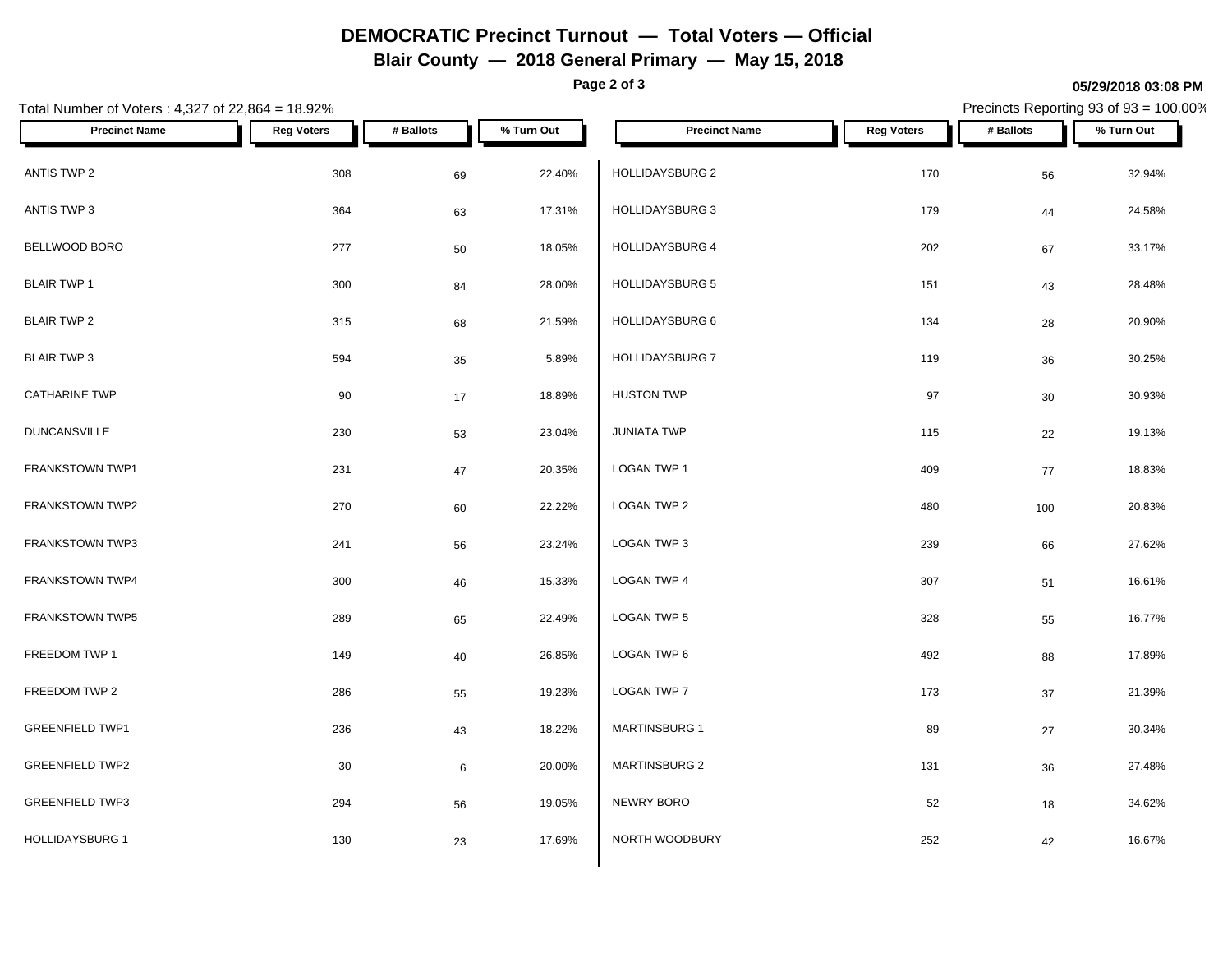# **DEMOCRATIC Precinct Turnout — Total Voters — Official**

**Blair County — 2018 General Primary — May 15, 2018**

**Page 2 of 3**

#### **05/29/2018 03:08 PM**

Precincts Reporting 93 of 93 = 100.00%

| Total Number of Voters: 4,327 of 22,864 = 18.92% |                   |           |            |                        |                   |           | Precincts Reporting 93 of 93 = 100.00% |
|--------------------------------------------------|-------------------|-----------|------------|------------------------|-------------------|-----------|----------------------------------------|
| <b>Precinct Name</b>                             | <b>Reg Voters</b> | # Ballots | % Turn Out | <b>Precinct Name</b>   | <b>Reg Voters</b> | # Ballots | % Turn Out                             |
| ANTIS TWP 2                                      | 308               | 69        | 22.40%     | HOLLIDAYSBURG 2        | 170               | 56        | 32.94%                                 |
| ANTIS TWP 3                                      | 364               | 63        | 17.31%     | <b>HOLLIDAYSBURG 3</b> | 179               | 44        | 24.58%                                 |
| BELLWOOD BORO                                    | 277               | 50        | 18.05%     | HOLLIDAYSBURG 4        | 202               | 67        | 33.17%                                 |
| <b>BLAIR TWP 1</b>                               | 300               | 84        | 28.00%     | HOLLIDAYSBURG 5        | 151               | 43        | 28.48%                                 |
| <b>BLAIR TWP 2</b>                               | 315               | 68        | 21.59%     | HOLLIDAYSBURG 6        | 134               | 28        | 20.90%                                 |
| <b>BLAIR TWP 3</b>                               | 594               | 35        | 5.89%      | HOLLIDAYSBURG 7        | 119               | 36        | 30.25%                                 |
| <b>CATHARINE TWP</b>                             | 90                | 17        | 18.89%     | <b>HUSTON TWP</b>      | 97                | $30\,$    | 30.93%                                 |
| <b>DUNCANSVILLE</b>                              | 230               | 53        | 23.04%     | <b>JUNIATA TWP</b>     | 115               | 22        | 19.13%                                 |
| FRANKSTOWN TWP1                                  | 231               | 47        | 20.35%     | LOGAN TWP 1            | 409               | $77$      | 18.83%                                 |
| FRANKSTOWN TWP2                                  | 270               | 60        | 22.22%     | LOGAN TWP 2            | 480               | 100       | 20.83%                                 |
| FRANKSTOWN TWP3                                  | 241               | 56        | 23.24%     | LOGAN TWP 3            | 239               | 66        | 27.62%                                 |
| FRANKSTOWN TWP4                                  | 300               | 46        | 15.33%     | LOGAN TWP 4            | 307               | 51        | 16.61%                                 |
| FRANKSTOWN TWP5                                  | 289               | 65        | 22.49%     | LOGAN TWP 5            | 328               | 55        | 16.77%                                 |
| FREEDOM TWP 1                                    | 149               | 40        | 26.85%     | LOGAN TWP 6            | 492               | 88        | 17.89%                                 |
| FREEDOM TWP 2                                    | 286               | 55        | 19.23%     | LOGAN TWP 7            | 173               | 37        | 21.39%                                 |
| <b>GREENFIELD TWP1</b>                           | 236               | 43        | 18.22%     | MARTINSBURG 1          | 89                | 27        | 30.34%                                 |
| <b>GREENFIELD TWP2</b>                           | 30                | 6         | 20.00%     | MARTINSBURG 2          | 131               | 36        | 27.48%                                 |
| <b>GREENFIELD TWP3</b>                           | 294               | 56        | 19.05%     | NEWRY BORO             | 52                | 18        | 34.62%                                 |
| <b>HOLLIDAYSBURG 1</b>                           | 130               | 23        | 17.69%     | NORTH WOODBURY         | 252               | 42        | 16.67%                                 |
|                                                  |                   |           |            |                        |                   |           |                                        |